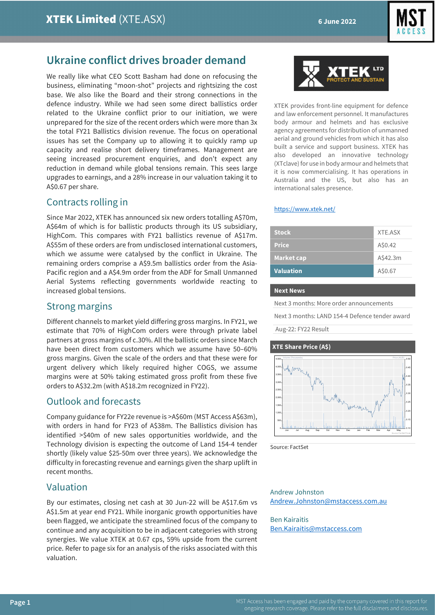

## **Ukraine conflict drives broader demand**

We really like what CEO Scott Basham had done on refocusing the business, eliminating "moon-shot" projects and rightsizing the cost base. We also like the Board and their strong connections in the defence industry. While we had seen some direct ballistics order related to the Ukraine conflict prior to our initiation, we were unprepared for the size of the recent orders which were more than 3x the total FY21 Ballistics division revenue. The focus on operational issues has set the Company up to allowing it to quickly ramp up capacity and realise short delivery timeframes. Management are seeing increased procurement enquiries, and don't expect any reduction in demand while global tensions remain. This sees large upgrades to earnings, and a 28% increase in our valuation taking it to A\$0.67 per share.

# Contracts rolling in

Since Mar 2022, XTEK has announced six new orders totalling A\$70m, A\$64m of which is for ballistic products through its US subsidiary, HighCom. This compares with FY21 ballistics revenue of A\$17m. A\$55m of these orders are from undisclosed international customers, which we assume were catalysed by the conflict in Ukraine. The remaining orders comprise a A\$9.5m ballistics order from the Asia-Pacific region and a A\$4.9m order from the ADF for Small Unmanned Aerial Systems reflecting governments worldwide reacting to increased global tensions.

## Strong margins

Different channels to market yield differing gross margins. In FY21, we estimate that 70% of HighCom orders were through private label partners at gross margins of c.30%. All the ballistic orders since March have been direct from customers which we assume have 50–60% gross margins. Given the scale of the orders and that these were for urgent delivery which likely required higher COGS, we assume margins were at 50% taking estimated gross profit from these five orders to A\$32.2m (with A\$18.2m recognized in FY22).

## Outlook and forecasts

Company guidance for FY22e revenue is >A\$60m (MST Access A\$63m), with orders in hand for FY23 of A\$38m. The Ballistics division has identified >\$40m of new sales opportunities worldwide, and the Technology division is expecting the outcome of Land 154-4 tender shortly (likely value \$25-50m over three years). We acknowledge the difficulty in forecasting revenue and earnings given the sharp uplift in recent months.

## Valuation

By our estimates, closing net cash at 30 Jun-22 will be A\$17.6m vs A\$1.5m at year end FY21. While inorganic growth opportunities have been flagged, we anticipate the streamlined focus of the company to continue and any acquisition to be in adjacent categories with strong synergies. We value XTEK at 0.67 cps, 59% upside from the current price. Refer to page six for an analysis of the risks associated with this valuation.



XTEK provides front-line equipment for defence and law enforcement personnel. It manufactures body armour and helmets and has exclusive agency agreements for distribution of unmanned aerial and ground vehicles from which it has also built a service and support business. XTEK has also developed an innovative technology (XTclave) for use in body armour and helmets that it is now commercialising. It has operations in Australia and the US, but also has an international sales presence.

#### <https://www.xtek.net/>

| <b>Stock</b>      | XTE.ASX  |
|-------------------|----------|
| <b>Price</b>      | A\$0.42  |
| <b>Market cap</b> | A\$42.3m |
| <b>Valuation</b>  | A\$0.67  |

#### **Next News**

Next 3 months: More order announcements

Next 3 months: LAND 154-4 Defence tender award

Aug-22: FY22 Result

#### **XTE Share Price (A\$)**



Source: FactSet

Andrew Johnston [Andrew.Johnston@mstaccess.com.au](mailto:Andrew.Johnston@mstaccess.com.au)

Ben Kairaitis [Ben.Kairaitis@mstaccess.com](mailto:Ben.Kairaitis@mstaccess.com)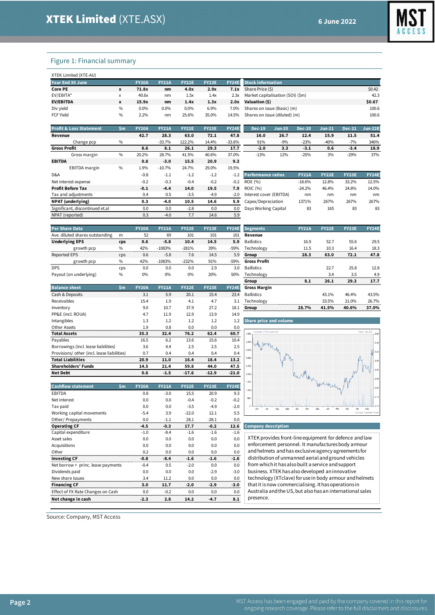

#### Figure 1: Financial summary

| XTEK Limited (XTE-AU) |      |              |              |              |              |              |                                   |        |
|-----------------------|------|--------------|--------------|--------------|--------------|--------------|-----------------------------------|--------|
| Year End 30 June      |      | <b>FY20A</b> | <b>FY21A</b> | <b>FY22E</b> | <b>FY23E</b> | <b>FY24E</b> | <b>Stock information</b>          |        |
| Core PE               | X    | 71.8x        | nm           | 4.0x         | 2.9x         | 7.1x         | Share Price (\$)                  | \$0.42 |
| EV/EBITA*             | X    | 40.6x        | nm           | 1.5x         | 1.4x         | 2.3x         | Market capitalisation (SOI) (\$m) | 42.3   |
| <b>EV/EBITDA</b>      | X    | 15.9x        | nm           | 1.4x         | 1.3x         | 2.0x         | Valuation (\$)                    | \$0.67 |
| Div yield             | $\%$ | $0.0\%$      | $0.0\%$      | 0.0%         | 6.9%         | 7.0%         | Shares on issue (Basic) (m)       | 100.6  |
| <b>FCF Yield</b>      | $\%$ | 2.2%         | nm           | 25.6%        | 35.0%        | 14.5%        | Shares on issue (diluted) (m)     | 100.6  |
|                       |      |              |              |              |              |              |                                   |        |

| <b>Profit &amp; Loss Statement</b> | \$m           | <b>FY20A</b> | <b>FY21A</b> | <b>FY22E</b> | <b>FY23E</b> | <b>FY24E</b> | <b>Dec-19</b>             | $Jun-20$ | <b>Dec-20</b> | $Jun-21$     | <b>Dec-21</b> | <b>Jun-22E</b> |
|------------------------------------|---------------|--------------|--------------|--------------|--------------|--------------|---------------------------|----------|---------------|--------------|---------------|----------------|
| Revenue                            |               | 42.7         | 28.3         | 63.0         | 72.1         | 47.8         | 16.0                      | 26.7     | 12.4          | 15.9         | 11.5          | 51.4           |
| Change pcp                         | $\%$          |              | $-33.7%$     | 122.2%       | 14.4%        | $-33.6%$     | 91%                       | $-9%$    | $-23%$        | $-40%$       | $-7%$         | 346%           |
| <b>Gross Profit</b>                |               | 8.6          | 8.1          | 26.1         | 29.3         | 17.7         | $-2.0$                    | 3.3      | $-3.1$        | 0.6          | $-3.4$        | 18.9           |
| Gross margin                       | $\frac{0}{0}$ | 20.2%        | 28.7%        | 41.5%        | 40.6%        | 37.0%        | $-13%$                    | 12%      | $-25%$        | 3%           | $-29%$        | 37%            |
| <b>EBITDA</b>                      |               | 0.8          | $-3.0$       | 15.5         | 20.9         | 9.3          |                           |          |               |              |               |                |
| EBITDA margin                      | $\frac{0}{0}$ | 1.9%         | $-10.7%$     | 24.7%        | 29.0%        | 19.5%        |                           |          |               |              |               |                |
| D&A                                |               | $-0.8$       | $-1.1$       | $-1.2$       | $-1.2$       | $-1.2$       | <b>Performance ratios</b> |          | <b>FY21A</b>  | <b>FY22E</b> | <b>FY23E</b>  | <b>FY24E</b>   |
| Net interest expense               |               | $-0.2$       | $-0.3$       | $-0.4$       | $-0.2$       | $-0.2$       | ROE (%)                   |          | $-18.6%$      | 12.8%        | 33.2%         | 12.5%          |
| <b>Profit Before Tax</b>           |               | $-0.1$       | $-4.4$       | 14.0         | 19.5         | 7.9          | <b>ROIC</b> (%)           |          | $-24.2%$      | 46.4%        | 24.8%         | 14.0%          |
| Tax and adjustments                |               | 0.4          | 0.5          | $-3.5$       | $-4.9$       | $-2.0$       | Interest cover (EBITDA)   |          | nm            | nm           | nm            | nm             |
| <b>NPAT</b> (underlying)           |               | 0.3          | -4.0         | 10.5         | 14.6         | 5.9          | Capex/Depreciation        |          | 1371%         | 267%         | 267%          | 267%           |
| Significant, discontinued et.al    |               | 0.0          | 0.0          | $-2.8$       | 0.0          | 0.0          | Days Working Capital      |          | 83            | 165          | 83            | 83             |
| NPAT (reported)                    |               | 0.3          | $-4.0$       | 7.7          | 14.6         | 5.9          |                           |          |               |              |               |                |
|                                    |               |              |              |              |              |              |                           |          |               |              |               |                |

|                          | --                        | <b>20</b> | 23 W         | $\sim$       | .            |              |
|--------------------------|---------------------------|-----------|--------------|--------------|--------------|--------------|
|                          | $-2.0$                    | 3.3       | $-3.1$       | 0.6          | $-3.4$       | 18.9         |
| 'n                       | $-13%$                    | 12%       | $-25%$       | 3%           | $-29%$       | 37%          |
|                          |                           |           |              |              |              |              |
| ó                        |                           |           |              |              |              |              |
| $\overline{\phantom{a}}$ | <b>Performance ratios</b> |           | <b>FY21A</b> | <b>FY22E</b> | <b>FY23E</b> | <b>FY24E</b> |
| 2                        | ROE (%)                   |           | $-18.6%$     | 12.8%        | 33.2%        | 12.5%        |
| Э                        | <b>ROIC</b> (%)           |           | $-24.2%$     | 46.4%        | 24.8%        | 14.0%        |
| D                        | Interest cover (EBITDA)   |           | nm           | nm           | nm           | nm           |
| Э                        | Capex/Depreciation        |           | 1371%        | 267%         | 267%         | 267%         |
| 0                        | Days Working Capital      |           | 83           | 165          | 83           | 83           |
|                          |                           |           |              |              |              |              |

| <b>Per Share Data</b>           |            | <b>FY20A</b> | <b>FY21A</b> | <b>FY22E</b> | <b>FY23E</b> | FY24E  | <b>Segments</b>     | <b>FY21A</b> | <b>FY22E</b> | <b>FY23E</b> | <b>FY24E</b> |
|---------------------------------|------------|--------------|--------------|--------------|--------------|--------|---------------------|--------------|--------------|--------------|--------------|
| Ave. diluted shares outstanding | m          | 52           | 69           | 101          | 101          | 101    | Revenue             |              |              |              |              |
| <b>Underlying EPS</b>           | cps        | 0.6          | $-5.8$       | 10.4         | 14.5         | 5.9    | <b>Ballistics</b>   | 16.9         | 52.7         | 55.6         | 29.5         |
| growth pcp                      | $\%$       | 42%          | $-1083%$     | $-281%$      | 39%          | $-59%$ | Technology          | 11.5         | 10.3         | 16.4         | 18.3         |
| <b>Reported EPS</b>             | <b>CDS</b> | 0.6          | $-5.8$       | 7.6          | 14.5         | 5.9    | Group               | 28.3         | 63.0         | 72.1         | 47.8         |
| growth pcp                      | $\%$       | 42%          | $-1083%$     | $-232%$      | 91%          | $-59%$ | <b>Gross Profit</b> |              |              |              |              |
| <b>DPS</b>                      | CDS        | 0.0          | 0.0          | 0.0          | 2.9          | 3.0    | <b>Ballistics</b>   |              | 22.7         | 25.8         | 12.8         |
| Payout (on underlying)          | $\%$       | 0%           | 0%           | 0%           | 20%          | 50%    | Technology          |              | 3.4          | 3.5          | 4.9          |

|                                             |     |              |              |              |              |              |                               | . .                    | ---   | ---      | -                   |
|---------------------------------------------|-----|--------------|--------------|--------------|--------------|--------------|-------------------------------|------------------------|-------|----------|---------------------|
| <b>Balance sheet</b>                        | \$m | <b>FY20A</b> | <b>FY21A</b> | <b>FY22E</b> | <b>FY23E</b> | <b>FY24E</b> | <b>Gross Margin</b>           |                        |       |          |                     |
| Cash & Deposits                             |     | 3.1          | 5.9          | 20.1         | 15.4         | 23.4         | <b>Ballistics</b>             |                        | 43.1% | 46.4%    | 43.5%               |
| Receivables                                 |     | 15.4         | 1.9          | 4.1          | 4.7          | 3.1          | Technology                    |                        | 33.5% | 21.0%    | 26.7%               |
| Inventory                                   |     | 9.0          | 10.7         | 37.9         | 27.2         | 18.1         | Group                         | 28.7%                  | 41.5% | 40.6%    | 37.0%               |
| PP&E (incl. ROUA)                           |     | 4.7          | 11.9         | 12.9         | 13.9         | 14.9         |                               |                        |       |          |                     |
| Intangibles                                 |     | 1.3          | 1.2          | 1.2          | 1.2          | 1.2          | <b>Share price and volume</b> |                        |       |          |                     |
| Other Assets                                |     | 1.9          | 0.8          | 0.0          | 0.0          | 0.0          |                               |                        |       |          |                     |
| <b>Total Assets</b>                         |     | 35.3         | 32.4         | 76.2         | 62.4         | 60.7         | Volume (Thousands)<br>4,500   |                        |       |          | Price (AUD)<br>0.50 |
| Payables                                    |     | 16.5         | 6.2          | 13.6         | 15.6         | 10.4         | 4,000-                        |                        |       |          | $-0.45$             |
| Borrowings (incl. lease liabilities)        |     | 3.6          | 4.4          | 2.5          | 2.5          | 2.5          | 3,500                         |                        |       |          |                     |
| Provisions/ other (incl. lease liabilities) |     | 0.7          | 0.4          | 0.4          | 0.4          | 0.4          |                               |                        |       |          | 1.0.40              |
| <b>Total Liabilities</b>                    |     | 20.9         | 11.0         | 16.4         | 18.4         | 13.2         | N<br>3,000                    | $M_{\alpha}$           |       |          | $-0.35$             |
| <b>Shareholders' Funds</b>                  |     | 14.5         | 21.4         | 59.8         | 44.0         | 47.5         | 2.500                         |                        |       |          | M<br>0.30           |
| <b>Net Debt</b>                             |     | 0.6          | $-1.5$       | $-17.6$      | $-12.9$      | $-21.0$      | 2,000                         | $\Lambda$ <sup>M</sup> |       | <b>M</b> |                     |

**Cashflow statement \$m FY20A FY21A FY22E FY23E FY24E** EBITDA 0.8 -3.0 15.5 20.9 9.3

Tax paid 0.0 0.0 -3.5 -4.9 -2.0 Working capital movements -5.4 3.9 -22.0 12.1 5.5

Capital expenditure -1.0 -8.4 -1.6 -1.6 -1.6 Asset sales 0.0 0.0 0.0 0.0 0.0 0.0 Acquisitions 0.0 0.0 0.0 0.0 0.0 0.0 Other 0.2 0.0 0.0 0.0 0.0 **Investing CF -0.8 -8.4 -1.6 -1.6 -1.6** Net borrow + princ. lease payments  $-0.4$  0.5  $-2.0$  0.0 0.0<br>Dividends paid 0.0 0.0 0.0 -2.9 -3.0 0.0 0.0 0.0 0.2.9 -3.0<br>New share issues 0.0 0.2.9 0.0 0.0 0.0 0.0 0.0

**Financing CF 3.0 11.7 -2.0 -2.9 -3.0** Effect of FX Rate Changes on Cash 0.0 -0.2 0.0 0.0 0.0 **Net change in cash -2.3 2.8 14.2 -4.7 8.1**

New share issues 3.4 11.2 0.0

|    | <b>Segments</b>     | <b>FY21A</b> | <b>FY22E</b> | <b>FY23E</b>                                                               | <b>FY24E</b> |
|----|---------------------|--------------|--------------|----------------------------------------------------------------------------|--------------|
| 1  | Revenue             |              |              |                                                                            |              |
| 9  | <b>Ballistics</b>   | 16.9         | 52.7         | 55.6                                                                       | 29.5         |
| 'n | Technology          | 11.5         | 10.3         | 16.4                                                                       | 18.3         |
| 9  | Group               | 28.3         | 63.0         | 72.1                                                                       | 47.8         |
| 'n | <b>Gross Profit</b> |              |              |                                                                            |              |
| O  | <b>Ballistics</b>   |              | 22.7         | 25.8                                                                       | 12.8         |
| 'n | Technology          |              | 3.4          | 3.5                                                                        | 4.9          |
|    | Group               | 81           | 26.1         | 29.3                                                                       | 177          |
| E  | <b>Gross Margin</b> |              |              |                                                                            |              |
| 4  | <b>Ballistics</b>   |              | 43.1%        | 46.4%                                                                      | 43.5%        |
| 1  | Technology          |              | 33.5%        | 21.0%                                                                      | 26.7%        |
| ۰  | -------             | $20 - 20$    | $-0.0$       | $\overline{a}$ $\overline{a}$ $\overline{a}$ $\overline{a}$ $\overline{a}$ | $-100$       |



#### **Operating CF -4.5 -0.3 17.7 -0.2 12.6 Company description**

XTEK provides front-line equipment for defence and law enforcement personnel. It manufactures body armour and helmets and has exclusive agency agreements for distribution of unmanned aerial and ground vehicles from which it has also built a service and support business. XTEK has also developed an innovative technology (XTclave) for use in body armour and helmets that it is now commercialising. It has operations in Australia and the US, but also has an international sales presence.

Source: Company, MST Access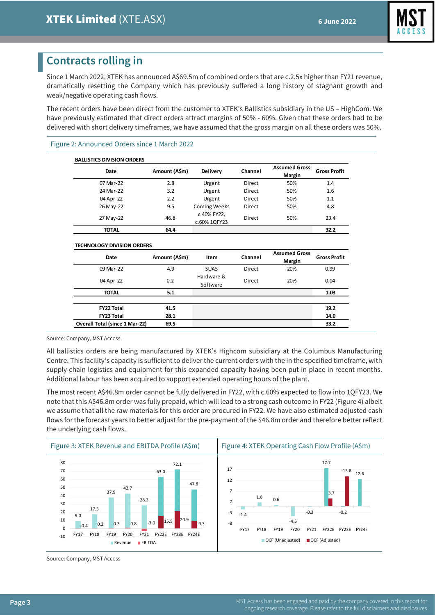

# **Contracts rolling in**

Since 1 March 2022, XTEK has announced A\$69.5m of combined orders that are c.2.5x higher than FY21 revenue, dramatically resetting the Company which has previously suffered a long history of stagnant growth and weak/negative operating cash flows.

The recent orders have been direct from the customer to XTEK's Ballistics subsidiary in the US – HighCom. We have previously estimated that direct orders attract margins of 50% - 60%. Given that these orders had to be delivered with short delivery timeframes, we have assumed that the gross margin on all these orders was 50%.

#### Figure 2: Announced Orders since 1 March 2022

| <b>BALLISTICS DIVISION ORDERS</b> |               |                             |         |                                |                     |
|-----------------------------------|---------------|-----------------------------|---------|--------------------------------|---------------------|
| Date                              | Amount (A\$m) | <b>Delivery</b>             | Channel | <b>Assumed Gross</b><br>Margin | <b>Gross Profit</b> |
| 07 Mar-22                         | 2.8           | Urgent                      | Direct  | 50%                            | 1.4                 |
| 24 Mar-22                         | 3.2           | Urgent                      | Direct  | 50%                            | 1.6                 |
| 04 Apr-22                         | 2.2           | Urgent                      | Direct  | 50%                            | 1.1                 |
| 26 May-22                         | 9.5           | <b>Coming Weeks</b>         | Direct  | 50%                            | 4.8                 |
| 27 May-22                         | 46.8          | c.40% FY22,<br>c.60% 1QFY23 | Direct  | 50%                            | 23.4                |
| <b>TOTAL</b>                      | 64.4          |                             |         |                                | 32.2                |

#### **TECHNOLOGY DIVISION ORDERS**

| Date                                  | Amount (A\$m) | Item                   | Channel | <b>Assumed Gross</b><br>Margin | <b>Gross Profit</b> |
|---------------------------------------|---------------|------------------------|---------|--------------------------------|---------------------|
| 09 Mar-22                             | 4.9           | <b>SUAS</b>            | Direct  | 20%                            | 0.99                |
| 04 Apr-22                             | 0.2           | Hardware &<br>Software | Direct  | 20%                            | 0.04                |
| <b>TOTAL</b>                          | 5.1           |                        |         |                                | 1.03                |
| <b>FY22 Total</b>                     | 41.5          |                        |         |                                | 19.2                |
| <b>FY23 Total</b>                     | 28.1          |                        |         |                                | 14.0                |
| <b>Overall Total (since 1 Mar-22)</b> | 69.5          |                        |         |                                | 33.2                |

Source: Company, MST Access.

All ballistics orders are being manufactured by XTEK's Highcom subsidiary at the Columbus Manufacturing Centre. This facility's capacity is sufficient to deliver the current orders with the in the specified timeframe, with supply chain logistics and equipment for this expanded capacity having been put in place in recent months. Additional labour has been acquired to support extended operating hours of the plant.

The most recent A\$46.8m order cannot be fully delivered in FY22, with c.60% expected to flow into 1QFY23. We note that this A\$46.8m order was fully prepaid, which will lead to a strong cash outcome in FY22 [\(Figure 4\)](#page-2-0) albeit we assume that all the raw materials for this order are procured in FY22. We have also estimated adjusted cash flows for the forecast years to better adjust for the pre-payment of the \$46.8m order and therefore better reflect the underlying cash flows.

<span id="page-2-0"></span>

Source: Company, MST Access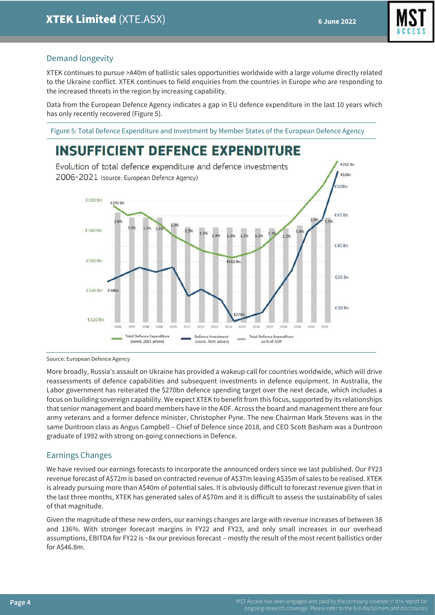$6216Bc$ 

 $E53Br$ 



## Demand longevity

XTEK continues to pursue >A40m of ballistic sales opportunities worldwide with a large volume directly related to the Ukraine conflict. XTEK continues to field enquiries from the countries in Europe who are responding to the increased threats in the region by increasing capability.

Data from the European Defence Agency indicates a gap in EU defence expenditure in the last 10 years which has only recently recovered [\(Figure 5\)](#page-3-0).

<span id="page-3-0"></span>Figure 5: Total Defence Expenditure and Investment by Member States of the European Defence Agency

# **INSUFFICIENT DEFENCE EXPENDITURE**

Evolution of total defence expenditure and defence investments 2006-2021 (source: European Defence Agency)



Source: European Defence Agency

More broadly, Russia's assault on Ukraine has provided a wakeup call for countries worldwide, which will drive reassessments of defence capabilities and subsequent investments in defence equipment. In Australia, the Labor government has reiterated the \$270bn defence spending target over the next decade, which includes a focus on building sovereign capability. We expect XTEK to benefit from this focus, supported by its relationships that senior management and board members have in the ADF. Across the board and management there are four army veterans and a former defence minister, Christopher Pyne. The new Chairman Mark Stevens was in the same Duntroon class as Angus Campbell – Chief of Defence since 2018, and CEO Scott Basham was a Duntroon graduate of 1992 with strong on-going connections in Defence.

## Earnings Changes

We have revised our earnings forecasts to incorporate the announced orders since we last published. Our FY23 revenue forecast of A\$72m is based on contracted revenue of A\$37m leaving A\$35m of sales to be realised. XTEK is already pursuing more than A\$40m of potential sales. It is obviously difficult to forecast revenue given that in the last three months, XTEK has generated sales of A\$70m and it is difficult to assess the sustainability of sales of that magnitude.

Given the magnitude of these new orders, our earnings changes are large with revenue increases of between 38 and 136%. With stronger forecast margins in FY22 and FY23, and only small increases in our overhead assumptions, EBITDA for FY22 is ~8x our previous forecast – mostly the result of the most recent ballistics order for A\$46.8m.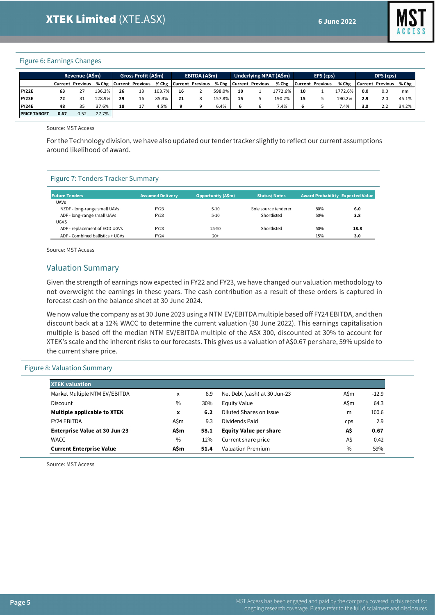

#### Figure 6: Earnings Changes

|                     |      | Revenue (ASm)           |          |    | <b>Gross Profit (A\$m)</b> |        |    | EBITDA (ASm)             |        |    | Underlying NPAT (A\$m) |         |    | EPS (cps)              |         |     | DPS (cps)        |       |
|---------------------|------|-------------------------|----------|----|----------------------------|--------|----|--------------------------|--------|----|------------------------|---------|----|------------------------|---------|-----|------------------|-------|
|                     |      | <b>Current Previous</b> |          |    | % Chg   Current Previous   |        |    | % Chg   Current Previous |        |    | % Chg Current Previous |         |    | % Chg Current Previous | % Che   |     | Current Previous | % Che |
| FY22E               | 63   |                         | 136.3%   | 26 | 13                         | 103.7% | 16 |                          | 598.0% | 10 |                        | 1772.6% | 10 |                        | 1772.6% | 0.0 | 0.0              | nm    |
| FY23E               | 72   | 31                      | 128.9% l | 29 | 16                         | 85.3%  | 21 | 8                        | 157.8% | 15 |                        | 190.2%  | 15 |                        | 190.2%  | 2.9 | 2.0              | 45.1% |
| <b>IFY24E</b>       | 48   | 35                      | 37.6%    | 18 | 17                         | 4.5%   | ٩  | a                        | 6.4%   |    |                        | 7.4%    |    |                        | 7.4%    | 3.0 | 2.2              | 34.2% |
| <b>PRICE TARGET</b> | 0.67 | 0.52                    | 27.7%    |    |                            |        |    |                          |        |    |                        |         |    |                        |         |     |                  |       |

Source: MST Access

For the Technology division, we have also updated our tender tracker slightly to reflect our current assumptions around likelihood of award.

#### Figure 7: Tenders Tracker Summary

| <b>Future Tenders</b>            | <b>Assumed Delivery</b> | <b>Opportunity (A\$m)</b> | <b>Status/Notes</b>  | <b>Award Probability Expected Value</b> |      |
|----------------------------------|-------------------------|---------------------------|----------------------|-----------------------------------------|------|
| <b>UAVs</b>                      |                         |                           |                      |                                         |      |
| NZDF - long-range small UAVs     | FY23                    | $5 - 10$                  | Sole source tenderer | 80%                                     | 6.0  |
| ADF - long-range small UAVs      | FY23                    | $5 - 10$                  | Shortlisted          | 50%                                     | 3.8  |
| <b>UGVS</b>                      |                         |                           |                      |                                         |      |
| ADF - replacement of EOD UGVs    | FY23                    | $25 - 50$                 | Shortlisted          | 50%                                     | 18.8 |
| ADF - Combined ballistics + UGVs | FY24                    | $20+$                     |                      | 15%                                     | 3.0  |

Source: MST Access

## Valuation Summary

Given the strength of earnings now expected in FY22 and FY23, we have changed our valuation methodology to not overweight the earnings in these years. The cash contribution as a result of these orders is captured in forecast cash on the balance sheet at 30 June 2024.

We now value the company as at 30 June 2023 using a NTM EV/EBITDA multiple based off FY24 EBITDA, and then discount back at a 12% WACC to determine the current valuation (30 June 2022). This earnings capitalisation multiple is based off the median NTM EV/EBITDA multiple of the ASX 300, discounted at 30% to account for XTEK's scale and the inherent risks to our forecasts. This gives us a valuation of A\$0.67 per share, 59% upside to the current share price.

#### Figure 8: Valuation Summary

| <b>XTEK valuation</b>                |               |      |                               |      |         |
|--------------------------------------|---------------|------|-------------------------------|------|---------|
| Market Multiple NTM EV/EBITDA        | x             | 8.9  | Net Debt (cash) at 30 Jun-23  | A\$m | $-12.9$ |
| <b>Discount</b>                      | $\frac{0}{0}$ | 30%  | <b>Equity Value</b>           | A\$m | 64.3    |
| <b>Multiple applicable to XTEK</b>   | x             | 6.2  | Diluted Shares on Issue       | m    | 100.6   |
| <b>FY24 EBITDA</b>                   | A\$m          | 9.3  | Dividends Paid                | cps  | 2.9     |
| <b>Enterprise Value at 30 Jun-23</b> | A\$m          | 58.1 | <b>Equity Value per share</b> | A\$  | 0.67    |
| <b>WACC</b>                          | $\frac{0}{0}$ | 12%  | Current share price           | A\$  | 0.42    |
| <b>Current Enterprise Value</b>      | <b>A</b> \$m  | 51.4 | Valuation Premium             | $\%$ | 59%     |

Source: MST Access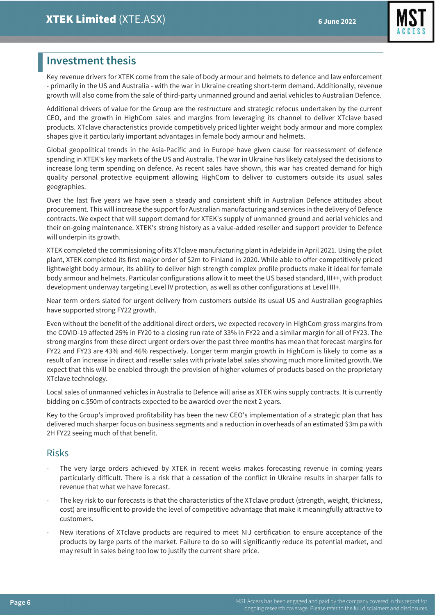

# **Investment thesis**

Key revenue drivers for XTEK come from the sale of body armour and helmets to defence and law enforcement - primarily in the US and Australia - with the war in Ukraine creating short-term demand. Additionally, revenue growth will also come from the sale of third-party unmanned ground and aerial vehicles to Australian Defence.

Additional drivers of value for the Group are the restructure and strategic refocus undertaken by the current CEO, and the growth in HighCom sales and margins from leveraging its channel to deliver XTclave based products. XTclave characteristics provide competitively priced lighter weight body armour and more complex shapes give it particularly important advantages in female body armour and helmets.

Global geopolitical trends in the Asia-Pacific and in Europe have given cause for reassessment of defence spending in XTEK's key markets of the US and Australia. The war in Ukraine has likely catalysed the decisions to increase long term spending on defence. As recent sales have shown, this war has created demand for high quality personal protective equipment allowing HighCom to deliver to customers outside its usual sales geographies.

Over the last five years we have seen a steady and consistent shift in Australian Defence attitudes about procurement. This will increase the support for Australian manufacturing and services in the delivery of Defence contracts. We expect that will support demand for XTEK's supply of unmanned ground and aerial vehicles and their on-going maintenance. XTEK's strong history as a value-added reseller and support provider to Defence will underpin its growth.

XTEK completed the commissioning of its XTclave manufacturing plant in Adelaide in April 2021. Using the pilot plant, XTEK completed its first major order of \$2m to Finland in 2020. While able to offer competitively priced lightweight body armour, its ability to deliver high strength complex profile products make it ideal for female body armour and helmets. Particular configurations allow it to meet the US based standard, III++, with product development underway targeting Level IV protection, as well as other configurations at Level III+.

Near term orders slated for urgent delivery from customers outside its usual US and Australian geographies have supported strong FY22 growth.

Even without the benefit of the additional direct orders, we expected recovery in HighCom gross margins from the COVID-19 affected 25% in FY20 to a closing run rate of 33% in FY22 and a similar margin for all of FY23. The strong margins from these direct urgent orders over the past three months has mean that forecast margins for FY22 and FY23 are 43% and 46% respectively. Longer term margin growth in HighCom is likely to come as a result of an increase in direct and reseller sales with private label sales showing much more limited growth. We expect that this will be enabled through the provision of higher volumes of products based on the proprietary XTclave technology.

Local sales of unmanned vehicles in Australia to Defence will arise as XTEK wins supply contracts. It is currently bidding on c.\$50m of contracts expected to be awarded over the next 2 years.

Key to the Group's improved profitability has been the new CEO's implementation of a strategic plan that has delivered much sharper focus on business segments and a reduction in overheads of an estimated \$3m pa with 2H FY22 seeing much of that benefit.

## Risks

- The very large orders achieved by XTEK in recent weeks makes forecasting revenue in coming years particularly difficult. There is a risk that a cessation of the conflict in Ukraine results in sharper falls to revenue that what we have forecast.
- The key risk to our forecasts is that the characteristics of the XTclave product (strength, weight, thickness, cost) are insufficient to provide the level of competitive advantage that make it meaningfully attractive to customers.
- New iterations of XTclave products are required to meet NIJ certification to ensure acceptance of the products by large parts of the market. Failure to do so will significantly reduce its potential market, and may result in sales being too low to justify the current share price.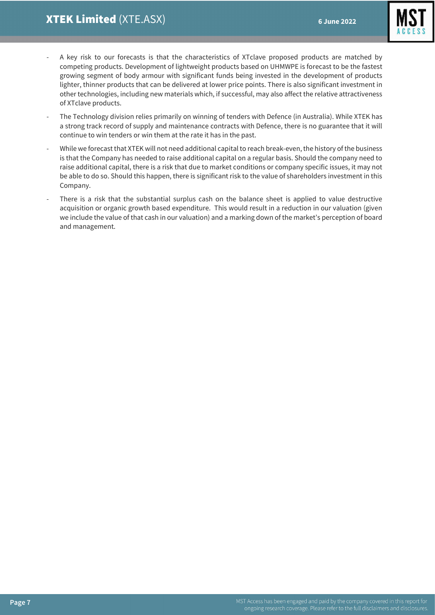

- A key risk to our forecasts is that the characteristics of XTclave proposed products are matched by competing products. Development of lightweight products based on UHMWPE is forecast to be the fastest growing segment of body armour with significant funds being invested in the development of products lighter, thinner products that can be delivered at lower price points. There is also significant investment in other technologies, including new materials which, if successful, may also affect the relative attractiveness of XTclave products.
- The Technology division relies primarily on winning of tenders with Defence (in Australia). While XTEK has a strong track record of supply and maintenance contracts with Defence, there is no guarantee that it will continue to win tenders or win them at the rate it has in the past.
- While we forecast that XTEK will not need additional capital to reach break-even, the history of the business is that the Company has needed to raise additional capital on a regular basis. Should the company need to raise additional capital, there is a risk that due to market conditions or company specific issues, it may not be able to do so. Should this happen, there is significant risk to the value of shareholders investment in this Company.
- There is a risk that the substantial surplus cash on the balance sheet is applied to value destructive acquisition or organic growth based expenditure. This would result in a reduction in our valuation (given we include the value of that cash in our valuation) and a marking down of the market's perception of board and management.